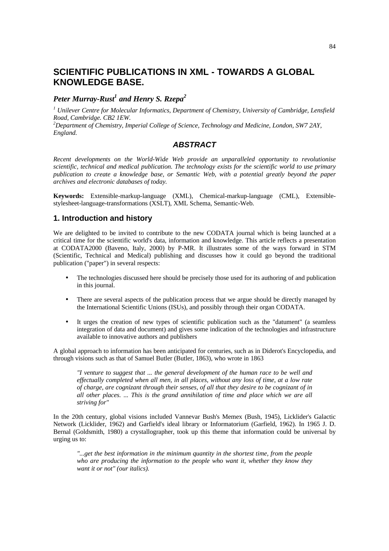# **SCIENTIFIC PUBLICATIONS IN XML - TOWARDS A GLOBAL KNOWLEDGE BASE.**

## *Peter Murray-Rust<sup>1</sup> and Henry S. Rzepa<sup>2</sup>*

*1 Unilever Centre for Molecular Informatics, Department of Chemistry, University of Cambridge, Lensfield Road, Cambridge. CB2 1EW.*

*<sup>2</sup>Department of Chemistry, Imperial College of Science, Technology and Medicine, London, SW7 2AY, England.*

#### *ABSTRACT*

*Recent developments on the World-Wide Web provide an unparalleled opportunity to revolutionise scientific, technical and medical publication. The technology exists for the scientific world to use primary publication to create a knowledge base, or Semantic Web, with a potential greatly beyond the paper archives and electronic databases of today.*

**Keywords:** Extensible-markup-language (XML), Chemical-markup-language (CML), Extensiblestylesheet-language-transformations (XSLT), XML Schema, Semantic-Web.

## **1. Introduction and history**

We are delighted to be invited to contribute to the new CODATA journal which is being launched at a critical time for the scientific world's data, information and knowledge. This article reflects a presentation at CODATA2000 (Baveno, Italy, 2000) by P-MR. It illustrates some of the ways forward in STM (Scientific, Technical and Medical) publishing and discusses how it could go beyond the traditional publication ("paper") in several respects:

- The technologies discussed here should be precisely those used for its authoring of and publication in this journal.
- There are several aspects of the publication process that we argue should be directly managed by the International Scientific Unions (ISUs), and possibly through their organ CODATA.
- It urges the creation of new types of scientific publication such as the "datument" (a seamless integration of data and document) and gives some indication of the technologies and infrastructure available to innovative authors and publishers

A global approach to information has been anticipated for centuries, such as in Diderot's Encyclopedia, and through visions such as that of Samuel Butler (Butler, 1863), who wrote in 1863

*"I venture to suggest that ... the general development of the human race to be well and effectually completed when all men, in all places, without any loss of time, at a low rate of charge, are cognizant through their senses, of all that they desire to be cognizant of in all other places. ... This is the grand annihilation of time and place which we are all striving for"*

In the 20th century, global visions included Vannevar Bush's Memex (Bush, 1945), Licklider's Galactic Network (Licklider, 1962) and Garfield's ideal library or Informatorium (Garfield, 1962). In 1965 J. D. Bernal (Goldsmith, 1980) a crystallographer, took up this theme that information could be universal by urging us to:

*"...get the best information in the minimum quantity in the shortest time, from the people who are producing the information to the people who want it, whether they know they want it or not" (our italics).*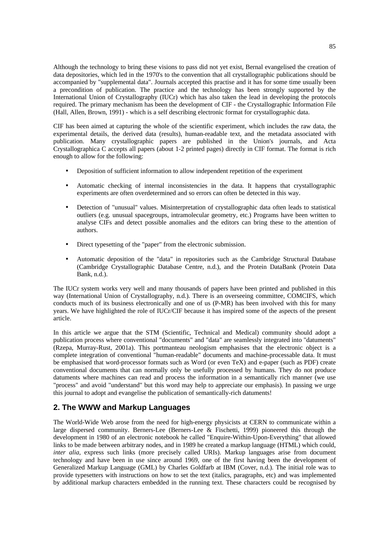Although the technology to bring these visions to pass did not yet exist, Bernal evangelised the creation of data depositories, which led in the 1970's to the convention that all crystallographic publications should be accompanied by "supplemental data". Journals accepted this practise and it has for some time usually been a precondition of publication. The practice and the technology has been strongly supported by the International Union of Crystallography (IUCr) which has also taken the lead in developing the protocols required. The primary mechanism has been the development of CIF - the Crystallographic Information File (Hall, Allen, Brown, 1991) - which is a self describing electronic format for crystallographic data.

CIF has been aimed at capturing the whole of the scientific experiment, which includes the raw data, the experimental details, the derived data (results), human-readable text, and the metadata associated with publication. Many crystallographic papers are published in the Union's journals, and Acta Crystallographica C accepts all papers (about 1-2 printed pages) directly in CIF format. The format is rich enough to allow for the following:

- Deposition of sufficient information to allow independent repetition of the experiment
- Automatic checking of internal inconsistencies in the data. It happens that crystallographic experiments are often overdetermined and so errors can often be detected in this way.
- Detection of "unusual" values. Misinterpretation of crystallographic data often leads to statistical outliers (e.g. unusual spacegroups, intramolecular geometry, etc.) Programs have been written to analyse CIFs and detect possible anomalies and the editors can bring these to the attention of authors.
- Direct typesetting of the "paper" from the electronic submission.
- Automatic deposition of the "data" in repositories such as the Cambridge Structural Database (Cambridge Crystallographic Database Centre, n.d.), and the Protein DataBank (Protein Data Bank, n.d.).

The IUCr system works very well and many thousands of papers have been printed and published in this way (International Union of Crystallography, n.d.). There is an overseeing committee, COMCIFS, which conducts much of its business electronically and one of us (P-MR) has been involved with this for many years. We have highlighted the role of IUCr/CIF because it has inspired some of the aspects of the present article.

In this article we argue that the STM (Scientific, Technical and Medical) community should adopt a publication process where conventional "documents" and "data" are seamlessly integrated into "datuments" (Rzepa, Murray-Rust, 2001a). This portmanteau neologism emphasises that the electronic object is a complete integration of conventional "human-readable" documents and machine-processable data. It must be emphasised that word-processor formats such as Word (or even TeX) and e-paper (such as PDF) create conventional documents that can normally only be usefully processed by humans. They do not produce datuments where machines can read and process the information in a semantically rich manner (we use "process" and avoid "understand" but this word may help to appreciate our emphasis). In passing we urge this journal to adopt and evangelise the publication of semantically-rich datuments!

## **2. The WWW and Markup Languages**

The World-Wide Web arose from the need for high-energy physicists at CERN to communicate within a large dispersed community. Berners-Lee (Berners-Lee & Fischetti, 1999) pioneered this through the development in 1980 of an electronic notebook he called "Enquire-Within-Upon-Everything" that allowed links to be made between arbitrary nodes, and in 1989 he created a markup language (HTML) which could, *inter alia*, express such links (more precisely called URIs). Markup languages arise from document technology and have been in use since around 1969, one of the first having been the development of Generalized Markup Language (GML) by Charles Goldfarb at IBM (Cover, n.d.). The initial role was to provide typesetters with instructions on how to set the text (italics, paragraphs, etc) and was implemented by additional markup characters embedded in the running text. These characters could be recognised by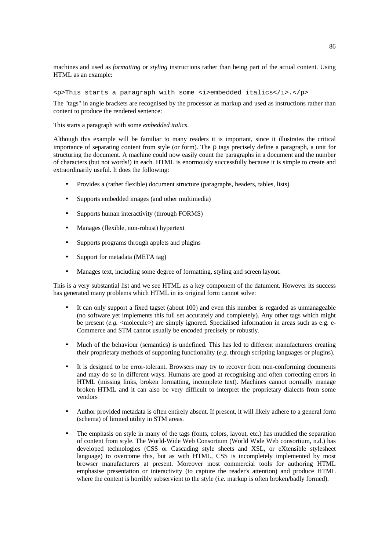machines and used as *formatting* or *styling* instructions rather than being part of the actual content. Using HTML as an example:

<p>This starts a paragraph with some <i>embedded italics</i>.</p>

The "tags" in angle brackets are recognised by the processor as markup and used as instructions rather than content to produce the rendered sentence:

This starts a paragraph with some *embedded italics*.

Although this example will be familiar to many readers it is important, since it illustrates the critical importance of separating content from style (or form). The p tags precisely define a paragraph, a unit for structuring the document. A machine could now easily count the paragraphs in a document and the number of characters (but not words!) in each. HTML is enormously successfully because it is simple to create and extraordinarily useful. It does the following:

- Provides a (rather flexible) document structure (paragraphs, headers, tables, lists)
- Supports embedded images (and other multimedia)
- Supports human interactivity (through FORMS)
- Manages (flexible, non-robust) hypertext
- Supports programs through applets and plugins
- Support for metadata (META tag)
- Manages text, including some degree of formatting, styling and screen layout.

This is a very substantial list and we see HTML as a key component of the datument. However its success has generated many problems which HTML in its original form cannot solve:

- It can only support a fixed tagset (about 100) and even this number is regarded as unmanageable (no software yet implements this full set accurately and completely). Any other tags which might be present  $(e, g. \leq m$ olecule $>$ ) are simply ignored. Specialised information in areas such as e.g. e-Commerce and STM cannot usually be encoded precisely or robustly.
- Much of the behaviour (semantics) is undefined. This has led to different manufacturers creating their proprietary methods of supporting functionality (*e.g.* through scripting languages or plugins).
- It is designed to be error-tolerant. Browsers may try to recover from non-conforming documents and may do so in different ways. Humans are good at recognising and often correcting errors in HTML (missing links, broken formatting, incomplete text). Machines cannot normally manage broken HTML and it can also be very difficult to interpret the proprietary dialects from some vendors
- Author provided metadata is often entirely absent. If present, it will likely adhere to a general form (schema) of limited utility in STM areas.
- The emphasis on style in many of the tags (fonts, colors, layout, etc.) has muddled the separation of content from style. The World-Wide Web Consortium (World Wide Web consortium, n.d.) has developed technologies (CSS or Cascading style sheets and XSL, or eXtensible stylesheet language) to overcome this, but as with HTML, CSS is incompletely implemented by most browser manufacturers at present. Moreover most commercial tools for authoring HTML emphasise presentation or interactivity (to capture the reader's attention) and produce HTML where the content is horribly subservient to the style (*i.e.* markup is often broken/badly formed).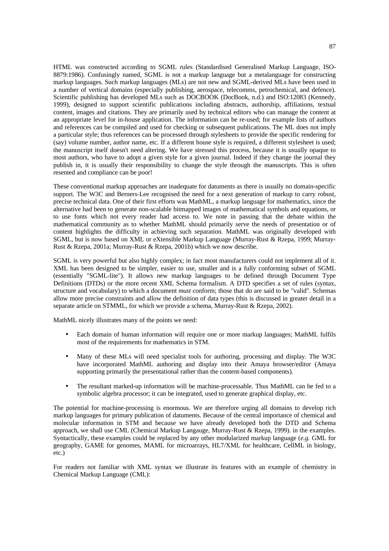HTML was constructed according to SGML rules (Standardised Generalised Markup Language, ISO-8879:1986). Confusingly named, SGML is not a markup language but a metalanguage for constructing markup languages. Such markup languages (MLs) are not new and SGML-derived MLs have been used in a number of vertical domains (especially publishing, aerospace, telecomms, petrochemical, and defence). Scientific publishing has developed MLs such as DOCBOOK (DocBook, n.d.) and ISO:12083 (Kennedy, 1999), designed to support scientific publications including abstracts, authorship, affiliations, textual content, images and citations. They are primarily used by technical editors who can manage the content at an appropriate level for in-house application. The information can be re-used; for example lists of authors and references can be compiled and used for checking or subsequent publications. The ML does not imply a particular style; thus references can be processed through stylesheets to provide the specific rendering for (say) volume number, author name, etc. If a different house style is required, a different stylesheet is used; the manuscript itself doesn't need altering. We have stressed this process, because it is usually opaque to most authors, who have to adopt a given style for a given journal. Indeed if they change the journal they publish in, it is usually their responsibility to change the style through the manuscripts. This is often resented and compliance can be poor!

These conventional markup approaches are inadequate for datuments as there is usually no domain-specific support. The W3C and Berners-Lee recognised the need for a next generation of markup to carry robust, precise technical data. One of their first efforts was MathML, a markup language for mathematics, since the alternative had been to generate non-scalable bitmapped images of mathematical symbols and equations, or to use fonts which not every reader had access to. We note in passing that the debate within the mathematical community as to whether MathML should primarily serve the needs of presentation or of content highlights the difficulty in achieving such separation. MathML was originally developed with SGML, but is now based on XML or eXtensible Markup Language (Murray-Rust & Rzepa, 1999; Murray-Rust & Rzepa, 2001a; Murray-Rust & Rzepa, 2001b) which we now describe.

SGML is very powerful but also highly complex; in fact most manufacturers could not implement all of it. XML has been designed to be simpler, easier to use, smaller and is a fully conforming subset of SGML (essentially "SGML-lite"). It allows new markup languages to be defined through Document Type Definitions (DTDs) or the more recent XML Schema formalism. A DTD specifies a set of rules (syntax, structure and vocabulary) to which a document *must* conform; those that do are said to be "valid". Schemas allow more precise constraints and allow the definition of data types (this is discussed in greater detail in a separate article on STMML, for which we provide a schema, Murray-Rust & Rzepa, 2002).

MathML nicely illustrates many of the points we need:

- Each domain of human information will require one or more markup languages; MathML fulfils most of the requirements for mathematics in STM.
- Many of these MLs will need specialist tools for authoring, processing and display. The W3C have incorporated MathML authoring and display into their Amaya browser/editor (Amaya supporting primarily the presentational rather than the content-based components).
- The resultant marked-up information will be machine-processable. Thus MathML can be fed to a symbolic algebra processor; it can be integrated, used to generate graphical display, etc.

The potential for machine-processing is enormous. We are therefore urging all domains to develop rich markup languages for primary publication of datuments. Because of the central importance of chemical and molecular information in STM and because we have already developed both the DTD and Schema approach, we shall use CML (Chemical Markup Langauge, Murray-Rust & Rzepa, 1999). in the examples. Syntactically, these examples could be replaced by any other modularized markup language (*e.g.* GML for geography, GAME for genomes, MAML for microarrays, HL7/XML for healthcare, CellML in biology, etc.)

For readers not familiar with XML syntax we illustrate its features with an example of chemistry in Chemical Markup Language (CML):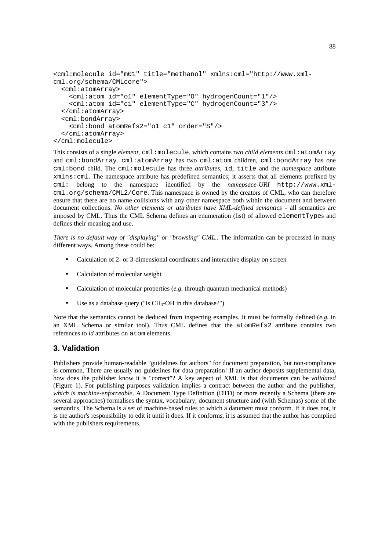```
<cml:molecule id="m01" title="methanol" xmlns:cml="http://www.xml-
cml.org/schema/CMLcore">
   <cml:atomArray>
     <cml:atom id="o1" elementType="O" hydrogenCount="1"/>
     <cml:atom id="c1" elementType="C" hydrogenCount="3"/>
   </cml:atomArray>
   <cml:bondArray>
     <cml:bond atomRefs2="o1 c1" order="S"/>
   </cml:atomArray>
</cml:molecule>
```
This consists of a single *element*, cml:molecule, which contains two *child elements* cml:atomArray and cml:bondArray. cml:atomArray has two cml:atom children, cml:bondArray has one cml:bond child. The cml:molecule has three *attributes*, id, title and the *namespace* attribute xmlns:cml. The namespace attribute has predefined semantics; it asserts that all elements prefixed by cml: belong to the namespace identified by the *namepsace-URI* http://www.xmlcml.org/schema/CML2/Core. This namespace is owned by the creators of CML, who can therefore ensure that there are no name collisions with any other namespace both within the document and between document collections. *No other elements or attributes have XML-defined semantics* - all semantics are imposed by CML. Thus the CML Schema defines an enumeration (list) of allowed elementTypes and defines their meaning and use.

*There is no default way of "displaying" or "browsing" CML.*. The information can be processed in many different ways. Among these could be:

- Calculation of 2- or 3-dimensional coordinates and interactive display on screen
- Calculation of molecular weight
- Calculation of molecular properties (*e.g.* through quantum mechanical methods)
- Use as a database query ("is  $CH_3$ -OH in this database?")

Note that the semantics cannot be deduced from inspecting examples. It must be formally defined (*e.g.* in an XML Schema or similar tool). Thus CML defines that the atomRefs2 attribute contains two references to *id* attributes on atom elements.

### **3. Validation**

Publishers provide human-readable "guidelines for authors" for document preparation, but non-compliance is common. There are usually no guidelines for data preparation! If an author deposits supplemental data, how does the publisher know it is "correct"? A key aspect of XML is that documents can be *validated* (Figure 1). For publishing purposes validation implies a contract between the author and the publisher, *which is machine-enforceable*. A Document Type Definition (DTD) or more recently a Schema (there are several approaches) formalises the syntax, vocabulary, document structure and (with Schemas) some of the semantics. The Schema is a set of machine-based rules to which a datument must conform. If it does not, it is the author's responsibility to edit it until it does. If it conforms, it is assumed that the author has complied with the publishers requirements.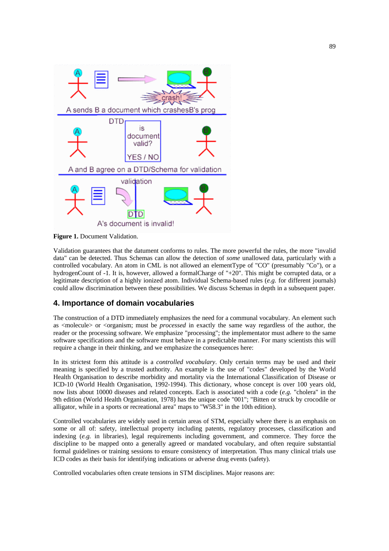

**Figure 1.** Document Validation.

Validation guarantees that the datument conforms to rules. The more powerful the rules, the more "invalid data" can be detected. Thus Schemas can allow the detection of *some* unallowed data, particularly with a controlled vocabulary. An atom in CML is not allowed an elementType of "CO" (presumably "Co"), or a hydrogenCount of -1. It is, however, allowed a formalCharge of "+20". This might be corrupted data, or a legitimate description of a highly ionized atom. Individual Schema-based rules (*e.g.* for different journals) could allow discrimination between these possibilities. We discuss Schemas in depth in a subsequent paper.

#### **4. Importance of domain vocabularies**

The construction of a DTD immediately emphasizes the need for a communal vocabulary. An element such as <molecule> or <organism; must be *processed* in exactly the same way regardless of the author, the reader or the processing software. We emphasize "processing"; the implementator must adhere to the same software specifications and the software must behave in a predictable manner. For many scientists this will require a change in their thinking, and we emphasize the consequences here:

In its strictest form this attitude is a *controlled vocabulary*. Only certain terms may be used and their meaning is specified by a trusted authority. An example is the use of "codes" developed by the World Health Organisation to describe morbidity and mortality via the International Classification of Disease or ICD-10 (World Health Organisation, 1992-1994). This dictionary, whose concept is over 100 years old, now lists about 10000 diseases and related concepts. Each is associated with a code (*e.g.* "cholera" in the 9th edition (World Health Organisation, 1978) has the unique code "001"; "Bitten or struck by crocodile or alligator, while in a sports or recreational area" maps to "W58.3" in the 10th edition).

Controlled vocabularies are widely used in certain areas of STM, especially where there is an emphasis on some or all of: safety, intellectual property including patents, regulatory processes, classification and indexing (*e.g.* in libraries), legal requirements including government, and commerce. They force the discipline to be mapped onto a generally agreed or mandated vocabulary, and often require substantial formal guidelines or training sessions to ensure consistency of interpretation. Thus many clinical trials use ICD codes as their basis for identifying indications or adverse drug events (safety).

Controlled vocabularies often create tensions in STM disciplines. Major reasons are: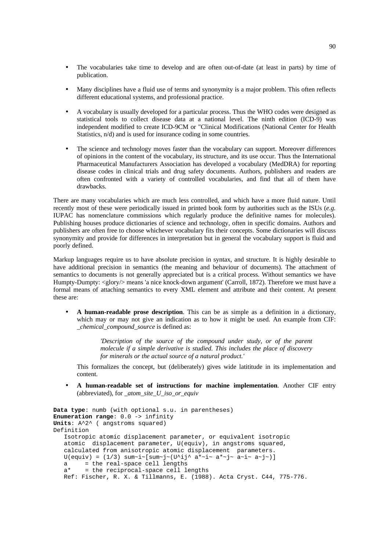- The vocabularies take time to develop and are often out-of-date (at least in parts) by time of publication.
- Many disciplines have a fluid use of terms and synonymity is a major problem. This often reflects different educational systems, and professional practice.
- A vocabulary is usually developed for a particular process. Thus the WHO codes were designed as statistical tools to collect disease data at a national level. The ninth edition (ICD-9) was independent modified to create ICD-9CM or "Clinical Modifications (National Center for Health Statistics, n/d) and is used for insurance coding in some countries.
- The science and technology moves faster than the vocabulary can support. Moreover differences of opinions in the content of the vocabulary, its structure, and its use occur. Thus the International Pharmaceutical Manufacturers Association has developed a vocabulary (MedDRA) for reporting disease codes in clinical trials and drug safety documents. Authors, publishers and readers are often confronted with a variety of controlled vocabularies, and find that all of them have drawbacks.

There are many vocabularies which are much less controlled, and which have a more fluid nature. Until recently most of these were periodically issued in printed book form by authorities such as the ISUs (*e.g.* IUPAC has nomenclature commissions which regularly produce the definitive names for molecules). Publishing houses produce dictionaries of science and technology, often in specific domains. Authors and publishers are often free to choose whichever vocabulary fits their concepts. Some dictionaries will discuss synonymity and provide for differences in interpretation but in general the vocabulary support is fluid and poorly defined.

Markup languages require us to have absolute precision in syntax, and structure. It is highly desirable to have additional precision in semantics (the meaning and behaviour of documents). The attachment of semantics to documents is not generally appreciated but is a critical process. Without semantics we have Humpty-Dumpty: <glory/> means 'a nice knock-down argument' (Carroll, 1872). Therefore we must have a formal means of attaching semantics to every XML element and attribute and their content. At present these are:

• **A human-readable prose description**. This can be as simple as a definition in a dictionary, which may or may not give an indication as to how it might be used. An example from CIF: *\_chemical\_compound\_source* is defined as:

> *'Description of the source of the compound under study, or of the parent molecule if a simple derivative is studied. This includes the place of discovery for minerals or the actual source of a natural product.'*

This formalizes the concept, but (deliberately) gives wide latititude in its implementation and content.

• **A human-readable set of instructions for machine implementation**. Another CIF entry (abbreviated), for *\_atom\_site\_U\_iso\_or\_equiv*

```
Data type: numb (with optional s.u. in parentheses)
Enumeration range: 0.0 -> infinity
Units: A^2^ ( angstroms squared)
Definition
    Isotropic atomic displacement parameter, or equivalent isotropic
    atomic displacement parameter, U(equiv), in angstroms squared,
    calculated from anisotropic atomic displacement parameters.
   U(\text{equiv } v) = (1/3) \text{ sum} - i - [\text{sum} - j - (U^{\wedge} i j^{\wedge} a^{\star} - i - a^{\star} - j - a^{\wedge} i - a^{\wedge} j - j] a = the real-space cell lengths
    a* = the reciprocal-space cell lengths
    Ref: Fischer, R. X. & Tillmanns, E. (1988). Acta Cryst. C44, 775-776.
```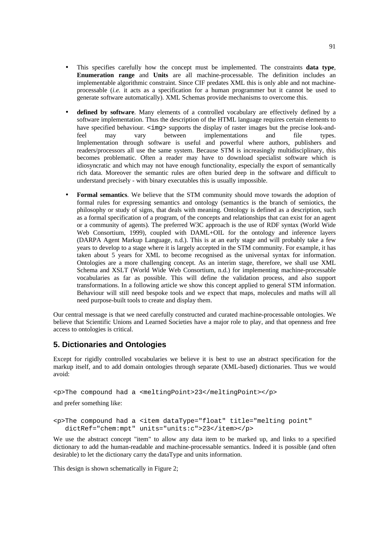- This specifies carefully how the concept must be implemented. The constraints **data type**, **Enumeration range** and **Units** are all machine-processable. The definition includes an implementable algorithmic constraint. Since CIF predates XML this is only able and not machineprocessable (*i.e.* it acts as a specification for a human programmer but it cannot be used to generate software automatically). XML Schemas provide mechanisms to overcome this.
- **defined by software**. Many elements of a controlled vocabulary are effectively defined by a software implementation. Thus the description of the HTML language requires certain elements to have specified behaviour. <img> supports the display of raster images but the precise look-andfeel may vary between implementations and file types. Implementation through software is useful and powerful where authors, publishers and readers/processors all use the same system. Because STM is increasingly multidisciplinary, this becomes problematic. Often a reader may have to download specialist software which is idiosyncratic and which may not have enough functionality, especially the export of semantically rich data. Moreover the semantic rules are often buried deep in the software and difficult to understand precisely - with binary executables this is usually impossible.
- **Formal semantics**. We believe that the STM community should move towards the adoption of formal rules for expressing semantics and ontology (semantics is the branch of semiotics, the philosophy or study of signs, that deals with meaning. Ontology is defined as a description, such as a formal specification of a program, of the concepts and relationships that can exist for an agent or a community of agents). The preferred W3C approach is the use of RDF syntax (World Wide Web Consortium, 1999), coupled with DAML+OIL for the ontology and inference layers (DARPA Agent Markup Language, n.d.). This is at an early stage and will probably take a few years to develop to a stage where it is largely accepted in the STM community. For example, it has taken about 5 years for XML to become recognised as the universal syntax for information. Ontologies are a more challenging concept. As an interim stage, therefore, we shall use XML Schema and XSLT (World Wide Web Consortium, n.d.) for implementing machine-processable vocabularies as far as possible. This will define the validation process, and also support transformations. In a following article we show this concept applied to general STM information. Behaviour will still need bespoke tools and we expect that maps, molecules and maths will all need purpose-built tools to create and display them.

Our central message is that we need carefully constructed and curated machine-processable ontologies. We believe that Scientific Unions and Learned Societies have a major role to play, and that openness and free access to ontologies is critical.

#### **5. Dictionaries and Ontologies**

Except for rigidly controlled vocabularies we believe it is best to use an abstract specification for the markup itself, and to add domain ontologies through separate (XML-based) dictionaries. Thus we would avoid:

<p>The compound had a <meltingPoint>23</meltingPoint></p> and prefer something like:

<p>The compound had a <item dataType="float" title="melting point" dictRef="chem:mpt" units="units:c">23</item></p>

We use the abstract concept "item" to allow any data item to be marked up, and links to a specified dictionary to add the human-readable and machine-processable semantics. Indeed it is possible (and often desirable) to let the dictionary carry the dataType and units information.

This design is shown schematically in Figure 2;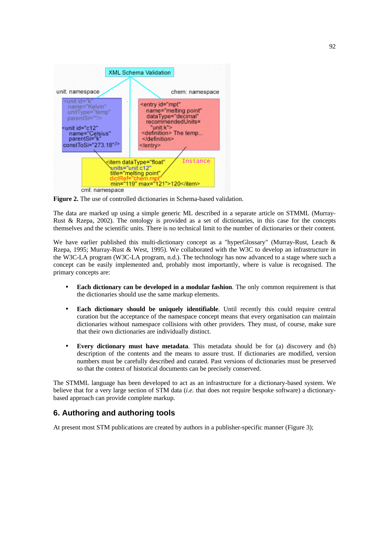

**Figure 2.** The use of controlled dictionaries in Schema-based validation.

The data are marked up using a simple generic ML described in a separate article on STMML (Murray-Rust & Rzepa, 2002). The ontology is provided as a set of dictionaries, in this case for the concepts themselves and the scientific units. There is no technical limit to the number of dictionaries or their content.

We have earlier published this multi-dictionary concept as a "hyperGlossary" (Murray-Rust, Leach & Rzepa, 1995; Murray-Rust & West, 1995). We collaborated with the W3C to develop an infrastructure in the W3C-LA program (W3C-LA program, n.d.). The technology has now advanced to a stage where such a concept can be easily implemented and, probably most importantly, where is value is recognised. The primary concepts are:

- **Each dictionary can be developed in a modular fashion**. The only common requirement is that the dictionaries should use the same markup elements.
- **Each dictionary should be uniquely identifiable**. Until recently this could require central curation but the acceptance of the namespace concept means that every organisation can maintain dictionaries without namespace collisions with other providers. They must, of course, make sure that their own dictionaries are individually distinct.
- **Every dictionary must have metadata**. This metadata should be for (a) discovery and (b) description of the contents and the means to assure trust. If dictionaries are modified, version numbers must be carefully described and curated. Past versions of dictionaries must be preserved so that the context of historical documents can be precisely conserved.

The STMML language has been developed to act as an infrastructure for a dictionary-based system. We believe that for a very large section of STM data (*i.e.* that does not require bespoke software) a dictionarybased approach can provide complete markup.

### **6. Authoring and authoring tools**

At present most STM publications are created by authors in a publisher-specific manner (Figure 3);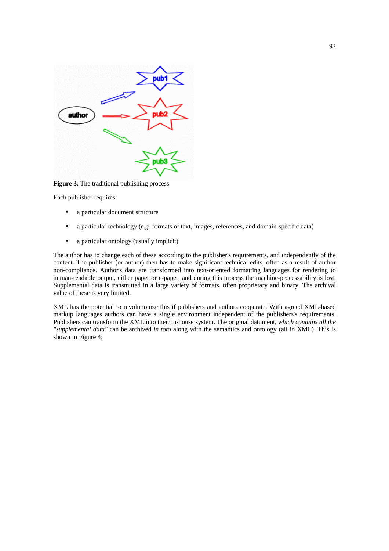

**Figure 3.** The traditional publishing process.

Each publisher requires:

- a particular document structure
- a particular technology (*e.g.* formats of text, images, references, and domain-specific data)
- a particular ontology (usually implicit)

The author has to change each of these according to the publisher's requirements, and independently of the content. The publisher (or author) then has to make significant technical edits, often as a result of author non-compliance. Author's data are transformed into text-oriented formatting languages for rendering to human-readable output, either paper or e-paper, and during this process the machine-processability is lost. Supplemental data is transmitted in a large variety of formats, often proprietary and binary. The archival value of these is very limited.

XML has the potential to revolutionize this if publishers and authors cooperate. With agreed XML-based markup languages authors can have a single environment independent of the publishers's requirements. Publishers can transform the XML into their in-house system. The original datument, *which contains all the "supplemental data"* can be archived *in toto* along with the semantics and ontology (all in XML). This is shown in Figure 4;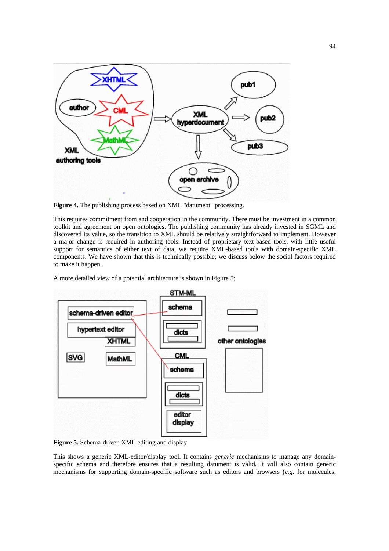

**Figure 4.** The publishing process based on XML "datument" processing.

This requires commitment from and cooperation in the community. There must be investment in a common toolkit and agreement on open ontologies. The publishing community has already invested in SGML and discovered its value, so the transition to XML should be relatively straightforward to implement. However a major change is required in authoring tools. Instead of proprietary text-based tools, with little useful support for semantics of either text of data, we require XML-based tools with domain-specific XML components. We have shown that this is technically possible; we discuss below the social factors required to make it happen.

A more detailed view of a potential architecture is shown in Figure 5;



**Figure 5.** Schema-driven XML editing and display

This shows a generic XML-editor/display tool. It contains *generic* mechanisms to manage any domainspecific schema and therefore ensures that a resulting datument is valid. It will also contain generic mechanisms for supporting domain-specific software such as editors and browsers (*e.g.* for molecules,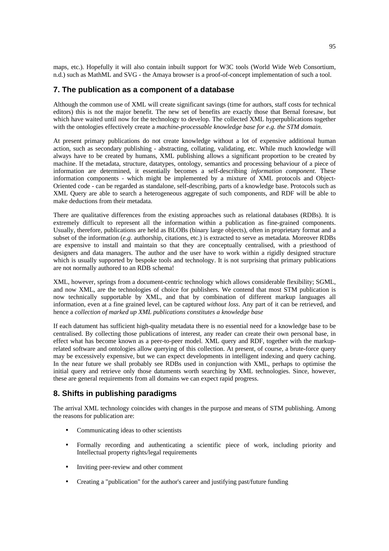maps, etc.). Hopefully it will also contain inbuilt support for W3C tools (World Wide Web Consortium, n.d.) such as MathML and SVG - the Amaya browser is a proof-of-concept implementation of such a tool.

#### **7. The publication as a component of a database**

Although the common use of XML will create significant savings (time for authors, staff costs for technical editors) this is not the major benefit. The new set of benefits are exactly those that Bernal foresaw, but which have waited until now for the technology to develop. The collected XML hyperpublications together with the ontologies effectively create a *machine-processable knowledge base for e.g. the STM domain*.

At present primary publications do not create knowledge without a lot of expensive additional human action, such as secondary publishing - abstracting, collating, validating, etc. While much knowledge will always have to be created by humans, XML publishing allows a significant proportion to be created by machine. If the metadata, structure, datatypes, ontology, semantics and processing behaviour of a piece of information are determined, it essentially becomes a self-describing *information component*. These information components - which might be implemented by a mixture of XML protocols and Object-Oriented code - can be regarded as standalone, self-describing, parts of a knowledge base. Protocols such as XML Query are able to search a heterogeneous aggregate of such components, and RDF will be able to make deductions from their metadata.

There are qualitative differences from the existing approaches such as relational databases (RDBs). It is extremely difficult to represent all the information within a publication as fine-grained components. Usually, therefore, publications are held as BLOBs (binary large objects), often in proprietary format and a subset of the information (*e.g.* authorship, citations, etc.) is extracted to serve as metadata. Moreover RDBs are expensive to install and maintain so that they are conceptually centralised, with a priesthood of designers and data managers. The author and the user have to work within a rigidly designed structure which is usually supported by bespoke tools and technology. It is not surprising that primary publications are not normally authored to an RDB schema!

XML, however, springs from a document-centric technology which allows considerable flexibility; SGML, and now XML, are the technologies of choice for publishers. We contend that most STM publication is now technically supportable by XML, and that by combination of different markup languages all information, even at a fine grained level, can be captured *without loss*. Any part of it can be retrieved, and hence a *collection of marked up XML publications constitutes a knowledge base*

If each datument has sufficient high-quality metadata there is no essential need for a knowledge base to be centralised. By collecting those publications of interest, any reader can create their own personal base, in effect what has become known as a peer-to-peer model. XML query and RDF, together with the markuprelated software and ontologies allow querying of this collection. At present, of course, a brute-force query may be excessively expensive, but we can expect developments in intelligent indexing and query caching. In the near future we shall probably see RDBs used in conjunction with XML, perhaps to optimise the initial query and retrieve only those datuments worth searching by XML technologies. Since, however, these are general requirements from all domains we can expect rapid progress.

#### **8. Shifts in publishing paradigms**

The arrival XML technology coincides with changes in the purpose and means of STM publishing. Among the reasons for publication are:

- Communicating ideas to other scientists
- Formally recording and authenticating a scientific piece of work, including priority and Intellectual property rights/legal requirements
- Inviting peer-review and other comment
- Creating a "publication" for the author's career and justifying past/future funding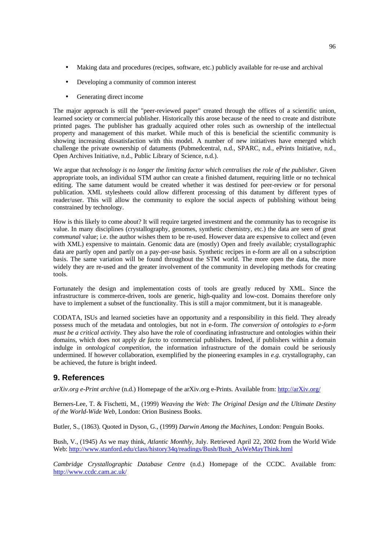- Making data and procedures (recipes, software, etc.) publicly available for re-use and archival
- Developing a community of common interest
- Generating direct income

The major approach is still the "peer-reviewed paper" created through the offices of a scientific union, learned society or commercial publisher. Historically this arose because of the need to create and distribute printed pages. The publisher has gradually acquired other roles such as ownership of the intellectual property and management of this market. While much of this is beneficial the scientific community is showing increasing dissatisfaction with this model. A number of new initiatives have emerged which challenge the private ownership of datuments (Pubmedcentral, n.d., SPARC, n.d., ePrints Initiative, n.d., Open Archives Initiative, n.d., Public Library of Science, n.d.).

We argue that *technology is no longer the limiting factor which centralises the role of the publisher*. Given appropriate tools, an individual STM author can create a finished datument, requiring little or no technical editing. The same datument would be created whether it was destined for peer-review or for personal publication. XML stylesheets could allow different processing of this datument by different types of reader/user. This will allow the community to explore the social aspects of publishing without being constrained by technology.

How is this likely to come about? It will require targeted investment and the community has to recognise its value. In many disciplines (crystallography, genomes, synthetic chemistry, etc.) the data are seen of great *communal* value; i.e. the author wishes them to be re-used. However data are expensive to collect and (even with XML) expensive to maintain. Genomic data are (mostly) Open and freely available; crystallographic data are partly open and partly on a pay-per-use basis. Synthetic recipes in e-form are all on a subscription basis. The same variation will be found throughout the STM world. The more open the data, the more widely they are re-used and the greater involvement of the community in developing methods for creating tools.

Fortunately the design and implementation costs of tools are greatly reduced by XML. Since the infrastructure is commerce-driven, tools are generic, high-quality and low-cost. Domains therefore only have to implement a subset of the functionality. This is still a major commitment, but it is manageable.

CODATA, ISUs and learned societies have an opportunity and a responsibility in this field. They already possess much of the metadata and ontologies, but not in e-form. *The conversion of ontologies to e-form must be a critical activity*. They also have the role of coordinating infrastructure and ontologies within their domains, which does not apply *de facto* to commercial publishers. Indeed, if publishers within a domain indulge in *ontological competition*, the information infrastructure of the domain could be seriously undermined. If however collaboration, exemplified by the pioneering examples in *e.g.* crystallography, can be achieved, the future is bright indeed.

#### **9. References**

*arXiv.org e-Print archive* (n.d.) Homepage of the arXiv.org e-Prints. Available from: http://arXiv.org/

Berners-Lee, T. & Fischetti, M., (1999) *Weaving the Web: The Original Design and the Ultimate Destiny of the World-Wide Web*, London: Orion Business Books.

Butler, S., (1863). Quoted in Dyson, G., (1999) *Darwin Among the Machines*, London: Penguin Books.

Bush, V., (1945) As we may think, *Atlantic Monthly*, July. Retrieved April 22, 2002 from the World Wide Web: http://www.stanford.edu/class/history34q/readings/Bush/Bush\_AsWeMayThink.html

*Cambridge Crystallographic Database Centre* (n.d.) Homepage of the CCDC. Available from: http://www.ccdc.cam.ac.uk/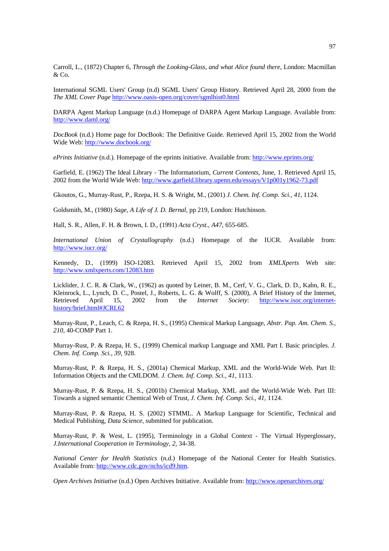Carroll, L., (1872) Chapter 6, *Through the Looking-Glass, and what Alice found there*, London: Macmillan & Co.

International SGML Users' Group (n.d) SGML Users' Group History. Retrieved April 28, 2000 from the *The XML Cover Page* http://www.oasis-open.org/cover/sgmlhist0.html

DARPA Agent Markup Language (n.d.) Homepage of DARPA Agent Markup Language. Available from: http://www.daml.org/

*DocBook* (n.d.) Home page for DocBook: The Definitive Guide. Retrieved April 15, 2002 from the World Wide Web: http://www.docbook.org/

*ePrints Initiative* (n.d.). Homepage of the eprints initiative. Available from: http://www.eprints.org/

Garfield, E. (1962) The Ideal Library - The Informatorium, *Current Contents*, June, 1. Retrieved April 15, 2002 from the World Wide Web: http://www.garfield.library.upenn.edu/essays/V1p001y1962-73.pdf

Gkoutos, G., Murray-Rust, P., Rzepa, H. S. & Wright, M., (2001) *J. Chem. Inf. Comp. Sci., 41*, 1124.

Goldsmith, M., (1980) *Sage, A Life of J. D. Bernal*, pp 219, London: Hutchinson.

Hall, S. R., Allen, F. H. & Brown, I. D., (1991) *Acta Cryst.*, *A47*, 655-685.

*International Union of Crystallography* (n.d.) Homepage of the IUCR. Available from: http://www.iucr.org/

Kennedy, D., (1999) ISO-12083. Retrieved April 15, 2002 from *XMLXperts* Web site: http://www.xmlxperts.com/12083.htm

Licklider, J. C. R. & Clark, W., (1962) as quoted by Leiner, B. M., Cerf, V. G., Clark, D. D., Kahn, R. E., Kleinrock, L., Lynch, D. C., Postel, J., Roberts, L. G. & Wolff, S. (2000), A Brief History of the Internet, Retrieved April 15, 2002 from the *Internet Society*: http://www.isoc.org/internethistory/brief.html#JCRL62

Murray-Rust, P., Leach, C. & Rzepa, H. S., (1995) Chemical Markup Language, *Abstr. Pap. Am. Chem. S.*, *210*, 40-COMP Part 1.

Murray-Rust, P. & Rzepa, H. S., (1999) Chemical markup Language and XML Part I. Basic principles. *J. Chem. Inf. Comp. Sci.*, *39*, 928.

Murray-Rust, P. & Rzepa, H. S., (2001a) Chemical Markup, XML and the World-Wide Web. Part II: Information Objects and the CMLDOM. *J. Chem. Inf. Comp. Sci.*, *41*, 1113.

Murray-Rust, P. & Rzepa, H. S., (2001b) Chemical Markup, XML and the World-Wide Web. Part III: Towards a signed semantic Chemical Web of Trust, *J. Chem. Inf. Comp. Sci.*, *41*, 1124.

Murray-Rust, P. & Rzepa, H. S. (2002) STMML. A Markup Language for Scientific, Technical and Medical Publishing, *Data Science*, submitted for publication.

Murray-Rust, P. & West, L. (1995), Terminology in a Global Context - The Virtual Hyperglossary, *J.International Cooperation in Terminology*, *2*, 34-38.

*National Center for Health Statistics* (n.d.) Homepage of the National Center for Health Statistics. Available from: http://www.cdc.gov/nchs/icd9.htm.

*Open Archives Initiative* (n.d.) Open Archives Initiative. Available from: http://www.openarchives.org/